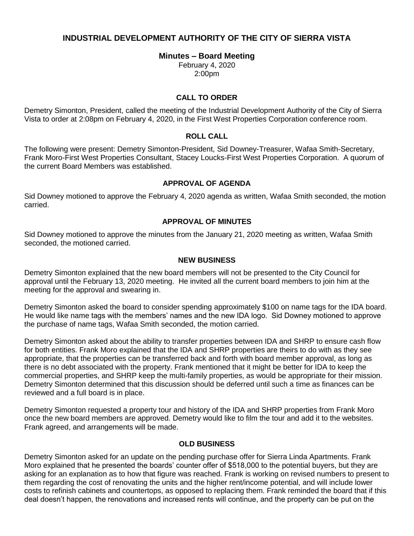# **INDUSTRIAL DEVELOPMENT AUTHORITY OF THE CITY OF SIERRA VISTA**

## **Minutes – Board Meeting**

February 4, 2020 2:00pm

## **CALL TO ORDER**

Demetry Simonton, President, called the meeting of the Industrial Development Authority of the City of Sierra Vista to order at 2:08pm on February 4, 2020, in the First West Properties Corporation conference room.

#### **ROLL CALL**

The following were present: Demetry Simonton-President, Sid Downey-Treasurer, Wafaa Smith-Secretary, Frank Moro-First West Properties Consultant, Stacey Loucks-First West Properties Corporation. A quorum of the current Board Members was established.

## **APPROVAL OF AGENDA**

Sid Downey motioned to approve the February 4, 2020 agenda as written, Wafaa Smith seconded, the motion carried.

## **APPROVAL OF MINUTES**

Sid Downey motioned to approve the minutes from the January 21, 2020 meeting as written, Wafaa Smith seconded, the motioned carried.

#### **NEW BUSINESS**

Demetry Simonton explained that the new board members will not be presented to the City Council for approval until the February 13, 2020 meeting. He invited all the current board members to join him at the meeting for the approval and swearing in.

Demetry Simonton asked the board to consider spending approximately \$100 on name tags for the IDA board. He would like name tags with the members' names and the new IDA logo. Sid Downey motioned to approve the purchase of name tags, Wafaa Smith seconded, the motion carried.

Demetry Simonton asked about the ability to transfer properties between IDA and SHRP to ensure cash flow for both entities. Frank Moro explained that the IDA and SHRP properties are theirs to do with as they see appropriate, that the properties can be transferred back and forth with board member approval, as long as there is no debt associated with the property. Frank mentioned that it might be better for IDA to keep the commercial properties, and SHRP keep the multi-family properties, as would be appropriate for their mission. Demetry Simonton determined that this discussion should be deferred until such a time as finances can be reviewed and a full board is in place.

Demetry Simonton requested a property tour and history of the IDA and SHRP properties from Frank Moro once the new board members are approved. Demetry would like to film the tour and add it to the websites. Frank agreed, and arrangements will be made.

## **OLD BUSINESS**

Demetry Simonton asked for an update on the pending purchase offer for Sierra Linda Apartments. Frank Moro explained that he presented the boards' counter offer of \$518,000 to the potential buyers, but they are asking for an explanation as to how that figure was reached. Frank is working on revised numbers to present to them regarding the cost of renovating the units and the higher rent/income potential, and will include lower costs to refinish cabinets and countertops, as opposed to replacing them. Frank reminded the board that if this deal doesn't happen, the renovations and increased rents will continue, and the property can be put on the